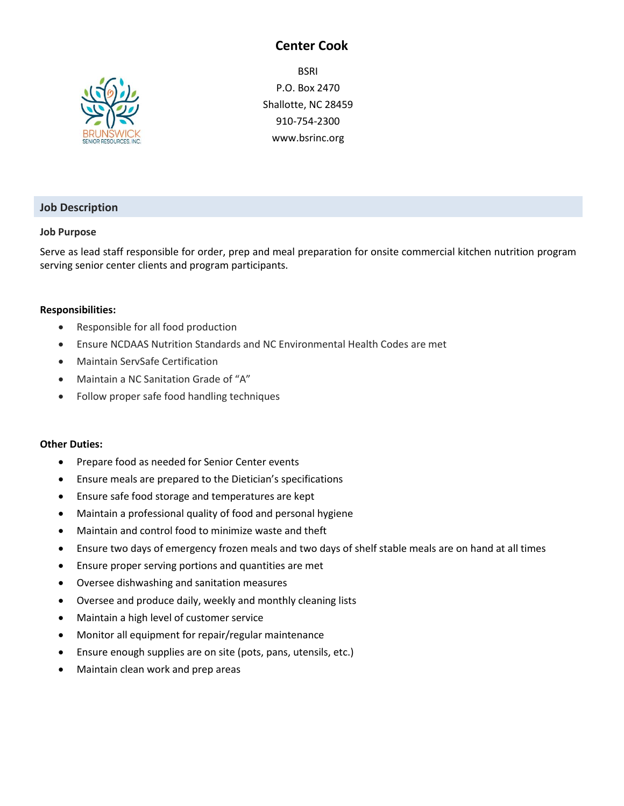## **Center Cook**



**BSRI** P.O. Box 2470 Shallotte, NC 28459 910-754-2300 www.bsrinc.org

## **Job Description**

#### **Job Purpose**

Serve as lead staff responsible for order, prep and meal preparation for onsite commercial kitchen nutrition program serving senior center clients and program participants.

#### **Responsibilities:**

- Responsible for all food production
- Ensure NCDAAS Nutrition Standards and NC Environmental Health Codes are met
- Maintain ServSafe Certification
- Maintain a NC Sanitation Grade of "A"
- Follow proper safe food handling techniques

#### **Other Duties:**

- Prepare food as needed for Senior Center events
- Ensure meals are prepared to the Dietician's specifications
- Ensure safe food storage and temperatures are kept
- Maintain a professional quality of food and personal hygiene
- Maintain and control food to minimize waste and theft
- Ensure two days of emergency frozen meals and two days of shelf stable meals are on hand at all times
- Ensure proper serving portions and quantities are met
- Oversee dishwashing and sanitation measures
- Oversee and produce daily, weekly and monthly cleaning lists
- Maintain a high level of customer service
- Monitor all equipment for repair/regular maintenance
- Ensure enough supplies are on site (pots, pans, utensils, etc.)
- Maintain clean work and prep areas